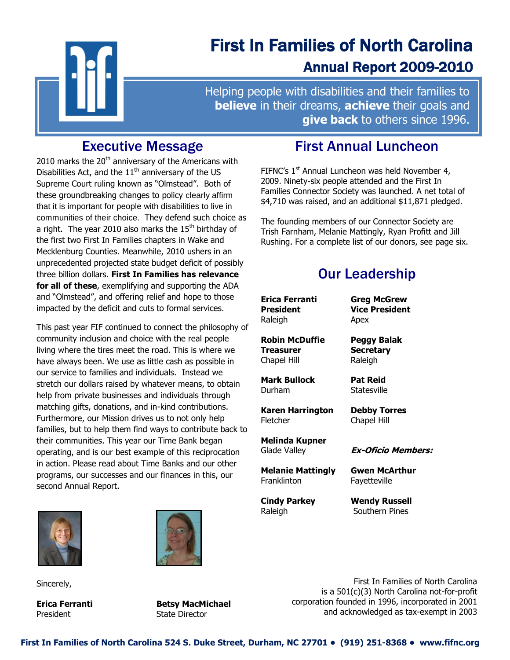

# First In Families of North Carolina Annual Report 2009-2010

Helping people with disabilities and their families to **believe** in their dreams, **achieve** their goals and **give back** to others since 1996.

# Executive Message

Ī

2010 marks the  $20<sup>th</sup>$  anniversary of the Americans with Disabilities Act, and the  $11<sup>th</sup>$  anniversary of the US Supreme Court ruling known as "Olmstead". Both of these groundbreaking changes to policy clearly affirm that it is important for people with disabilities to live in communities of their choice. They defend such choice as a right. The year 2010 also marks the  $15<sup>th</sup>$  birthday of the first two First In Families chapters in Wake and Mecklenburg Counties. Meanwhile, 2010 ushers in an unprecedented projected state budget deficit of possibly three billion dollars. **First In Families has relevance for all of these**, exemplifying and supporting the ADA and "Olmstead", and offering relief and hope to those impacted by the deficit and cuts to formal services.

This past year FIF continued to connect the philosophy of community inclusion and choice with the real people living where the tires meet the road. This is where we have always been. We use as little cash as possible in our service to families and individuals. Instead we stretch our dollars raised by whatever means, to obtain help from private businesses and individuals through matching gifts, donations, and in-kind contributions. Furthermore, our Mission drives us to not only help families, but to help them find ways to contribute back to their communities. This year our Time Bank began operating, and is our best example of this reciprocation in action. Please read about Time Banks and our other programs, our successes and our finances in this, our second Annual Report.



Sincerely,



**Erica Ferranti Betsy MacMichael** President State Director

# First Annual Luncheon

FIFNC's  $1<sup>st</sup>$  Annual Luncheon was held November 4, 2009. Ninety-six people attended and the First In Families Connector Society was launched. A net total of \$4,710 was raised, and an additional \$11,871 pledged.

The founding members of our Connector Society are Trish Farnham, Melanie Mattingly, Ryan Profitt and Jill Rushing. For a complete list of our donors, see page six.

# Our Leadership

| Erica Ferranti                 | <b>Greg McGrew</b>                 |  |
|--------------------------------|------------------------------------|--|
| <b>President</b>               | <b>Vice President</b>              |  |
| Raleigh                        | Apex                               |  |
| <b>Robin McDuffie</b>          | Peggy Balak                        |  |
| Treasurer                      | <b>Secretary</b>                   |  |
| Chapel Hill                    | Raleigh                            |  |
| <b>Mark Bullock</b>            | <b>Pat Reid</b>                    |  |
| Durham                         | Statesville                        |  |
| Karen Harrington               | <b>Debby Torres</b><br>Chapel Hill |  |
| Fletcher                       |                                    |  |
| Melinda Kupner<br>Glade Valley | <b>Ex-Oficio Members:</b>          |  |
| <b>Melanie Mattingly</b>       | Gwen McArthur                      |  |
| Franklinton                    | Fayetteville                       |  |

First In Families of North Carolina is a 501(c)(3) North Carolina not-for-profit corporation founded in 1996, incorporated in 2001 and acknowledged as tax-exempt in 2003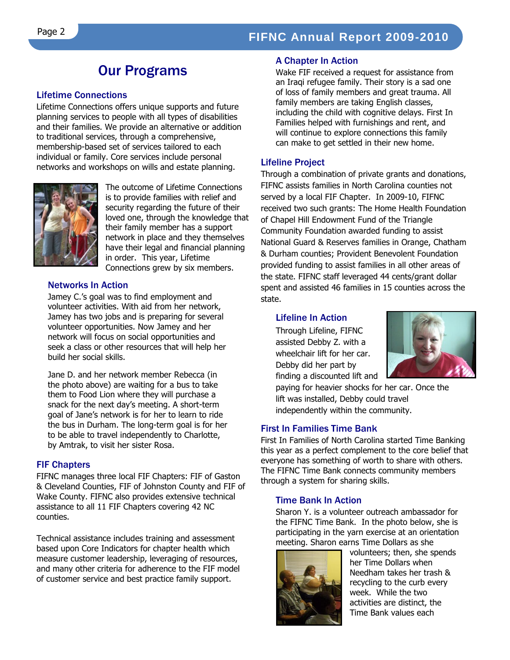# Our Programs

#### Lifetime Connections

Lifetime Connections offers unique supports and future planning services to people with all types of disabilities and their families. We provide an alternative or addition to traditional services, through a comprehensive, membership-based set of services tailored to each individual or family. Core services include personal networks and workshops on wills and estate planning.



The outcome of Lifetime Connections is to provide families with relief and security regarding the future of their loved one, through the knowledge that their family member has a support network in place and they themselves have their legal and financial planning in order. This year, Lifetime Connections grew by six members.

#### Networks In Action

Jamey C.'s goal was to find employment and volunteer activities. With aid from her network, Jamey has two jobs and is preparing for several volunteer opportunities. Now Jamey and her network will focus on social opportunities and seek a class or other resources that will help her build her social skills.

Jane D. and her network member Rebecca (in the photo above) are waiting for a bus to take them to Food Lion where they will purchase a snack for the next day's meeting. A short-term goal of Jane's network is for her to learn to ride the bus in Durham. The long-term goal is for her to be able to travel independently to Charlotte, by Amtrak, to visit her sister Rosa.

#### FIF Chapters

FIFNC manages three local FIF Chapters: FIF of Gaston & Cleveland Counties, FIF of Johnston County and FIF of Wake County. FIFNC also provides extensive technical assistance to all 11 FIF Chapters covering 42 NC counties.

Technical assistance includes training and assessment based upon Core Indicators for chapter health which measure customer leadership, leveraging of resources, and many other criteria for adherence to the FIF model of customer service and best practice family support.

#### A Chapter In Action

Wake FIF received a request for assistance from an Iraqi refugee family. Their story is a sad one of loss of family members and great trauma. All family members are taking English classes, including the child with cognitive delays. First In Families helped with furnishings and rent, and will continue to explore connections this family can make to get settled in their new home.

#### Lifeline Project

Through a combination of private grants and donations, FIFNC assists families in North Carolina counties not served by a local FIF Chapter. In 2009-10, FIFNC received two such grants: The Home Health Foundation of Chapel Hill Endowment Fund of the Triangle Community Foundation awarded funding to assist National Guard & Reserves families in Orange, Chatham & Durham counties; Provident Benevolent Foundation provided funding to assist families in all other areas of the state. FIFNC staff leveraged 44 cents/grant dollar spent and assisted 46 families in 15 counties across the state.

#### Lifeline In Action

Through Lifeline, FIFNC assisted Debby Z. with a wheelchair lift for her car. Debby did her part by finding a discounted lift and



paying for heavier shocks for her car. Once the lift was installed, Debby could travel independently within the community.

#### First In Families Time Bank

First In Families of North Carolina started Time Banking this year as a perfect complement to the core belief that everyone has something of worth to share with others. The FIFNC Time Bank connects community members through a system for sharing skills.

#### Time Bank In Action

Sharon Y. is a volunteer outreach ambassador for the FIFNC Time Bank. In the photo below, she is participating in the yarn exercise at an orientation meeting. Sharon earns Time Dollars as she



volunteers; then, she spends her Time Dollars when Needham takes her trash & recycling to the curb every week. While the two activities are distinct, the Time Bank values each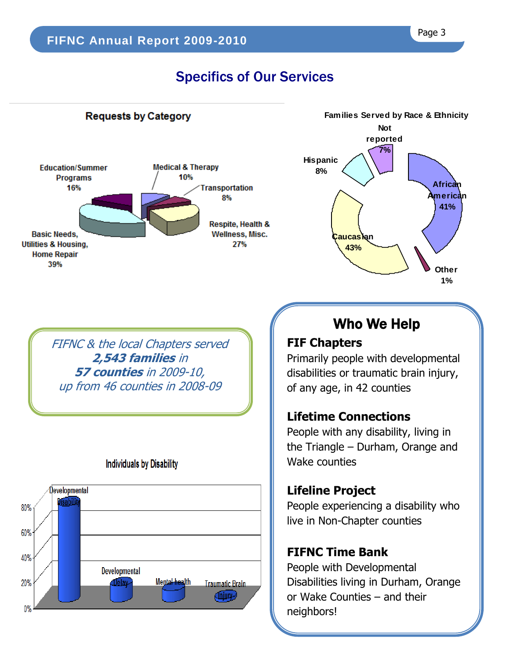# Specifics of Our Services

## **Requests by Category**





FIFNC & the local Chapters served **2,543 families** in **57 counties** in 2009-10, up from 46 counties in 2008-09



## **Individuals by Disability**

# Who We Help

# **FIF Chapters**

Primarily people with developmental disabilities or traumatic brain injury, of any age, in 42 counties

## **Lifetime Connections**

People with any disability, living in the Triangle – Durham, Orange and Wake counties

## **Lifeline Project**

People experiencing a disability who live in Non-Chapter counties

## **FIFNC Time Bank**

People with Developmental Disabilities living in Durham, Orange or Wake Counties – and their neighbors!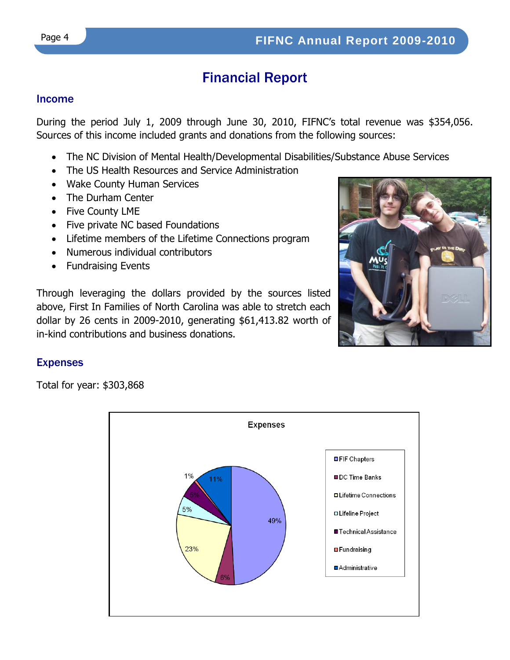# Financial Report

#### Income

During the period July 1, 2009 through June 30, 2010, FIFNC's total revenue was \$354,056. Sources of this income included grants and donations from the following sources:

- The NC Division of Mental Health/Developmental Disabilities/Substance Abuse Services
- The US Health Resources and Service Administration
- Wake County Human Services
- The Durham Center
- Five County LME
- Five private NC based Foundations
- Lifetime members of the Lifetime Connections program
- Numerous individual contributors
- Fundraising Events

Through leveraging the dollars provided by the sources listed above, First In Families of North Carolina was able to stretch each dollar by 26 cents in 2009-2010, generating \$61,413.82 worth of in-kind contributions and business donations.



## Expenses

Total for year: \$303,868

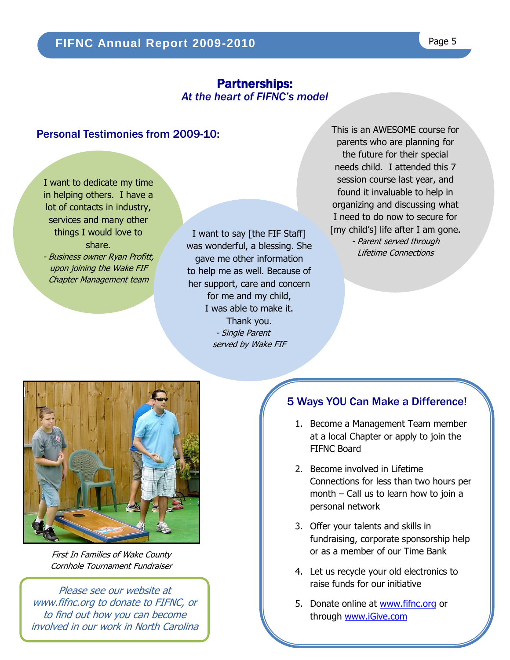## Partnerships: *At the heart of FIFNC's model*

l

## Personal Testimonies from 2009-10:

I want to dedicate my time in helping others. I have a lot of contacts in industry, services and many other things I would love to share.

- Business owner Ryan Profitt, upon joining the Wake FIF Chapter Management team

l, I want to say [the FIF Staff]<br>Ias wonderful, a blessing, She was wonderful, a blessing. She gave me other information to help me as well. Because of her support, care and concern for me and my child, I was able to make it. Thank you. - Single Parent served by Wake FIF

This is an AWESOME course for parents who are planning for the future for their special needs child. I attended this 7 session course last year, and found it invaluable to help in organizing and discussing what I need to do now to secure for [my child's] life after I am gone. - Parent served through

Lifetime Connections

First In Families of Wake County Cornhole Tournament Fundraiser

Please see our website at [www.fifnc.org](http://www.fifnc.org/) to donate to FIFNC, or to find out how you can become involved in our work in North Carolina

## 5 Ways YOU Can Make a Difference!

- 1. Become a Management Team member at a local Chapter or apply to join the FIFNC Board
- 2. Become involved in Lifetime Connections for less than two hours per month – Call us to learn how to join a personal network
- 3. Offer your talents and skills in fundraising, corporate sponsorship help or as a member of our Time Bank
- 4. Let us recycle your old electronics to raise funds for our initiative
- 5. Donate online at [www.fifnc.org](http://www.fifnc.org/) or through [www.iGive.com](http://www.igive.com/)